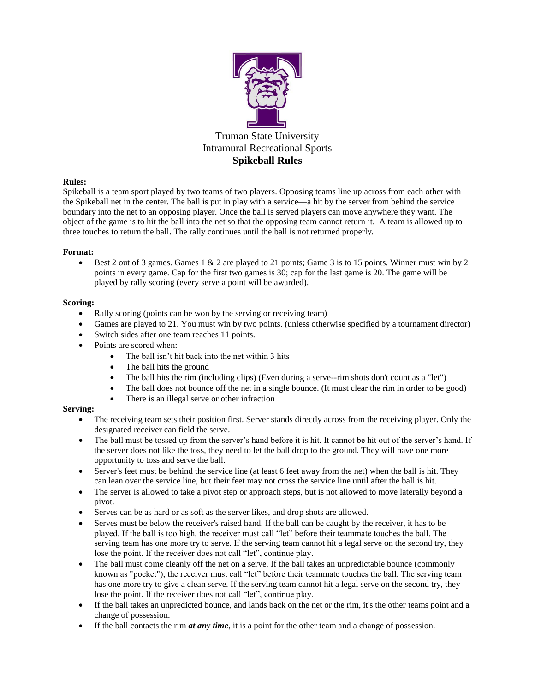

# **Rules:**

Spikeball is a team sport played by two teams of two players. Opposing teams line up across from each other with the Spikeball net in the center. The ball is put in play with a service—a hit by the server from behind the service boundary into the net to an opposing player. Once the ball is served players can move anywhere they want. The object of the game is to hit the ball into the net so that the opposing team cannot return it. A team is allowed up to three touches to return the ball. The rally continues until the ball is not returned properly.

# **Format:**

 Best 2 out of 3 games. Games 1 & 2 are played to 21 points; Game 3 is to 15 points. Winner must win by 2 points in every game. Cap for the first two games is 30; cap for the last game is 20. The game will be played by rally scoring (every serve a point will be awarded).

## **Scoring:**

- Rally scoring (points can be won by the serving or receiving team)
- Games are played to 21. You must win by two points. (unless otherwise specified by a tournament director)
- Switch sides after one team reaches 11 points.
- Points are scored when:
	- The ball isn't hit back into the net within 3 hits
	- The ball hits the ground
	- The ball hits the rim (including clips) (Even during a serve--rim shots don't count as a "let")
	- The ball does not bounce off the net in a single bounce. (It must clear the rim in order to be good)
	- There is an illegal serve or other infraction

# **Serving:**

- The receiving team sets their position first. Server stands directly across from the receiving player. Only the designated receiver can field the serve.
- The ball must be tossed up from the server's hand before it is hit. It cannot be hit out of the server's hand. If the server does not like the toss, they need to let the ball drop to the ground. They will have one more opportunity to toss and serve the ball.
- Server's feet must be behind the service line (at least 6 feet away from the net) when the ball is hit. They can lean over the service line, but their feet may not cross the service line until after the ball is hit.
- The server is allowed to take a pivot step or approach steps, but is not allowed to move laterally beyond a pivot.
- Serves can be as hard or as soft as the server likes, and drop shots are allowed.
- Serves must be below the receiver's raised hand. If the ball can be caught by the receiver, it has to be played. If the ball is too high, the receiver must call "let" before their teammate touches the ball. The serving team has one more try to serve. If the serving team cannot hit a legal serve on the second try, they lose the point. If the receiver does not call "let", continue play.
- The ball must come cleanly off the net on a serve. If the ball takes an unpredictable bounce (commonly known as "pocket"), the receiver must call "let" before their teammate touches the ball. The serving team has one more try to give a clean serve. If the serving team cannot hit a legal serve on the second try, they lose the point. If the receiver does not call "let", continue play.
- If the ball takes an unpredicted bounce, and lands back on the net or the rim, it's the other teams point and a change of possession.
- If the ball contacts the rim *at any time*, it is a point for the other team and a change of possession.